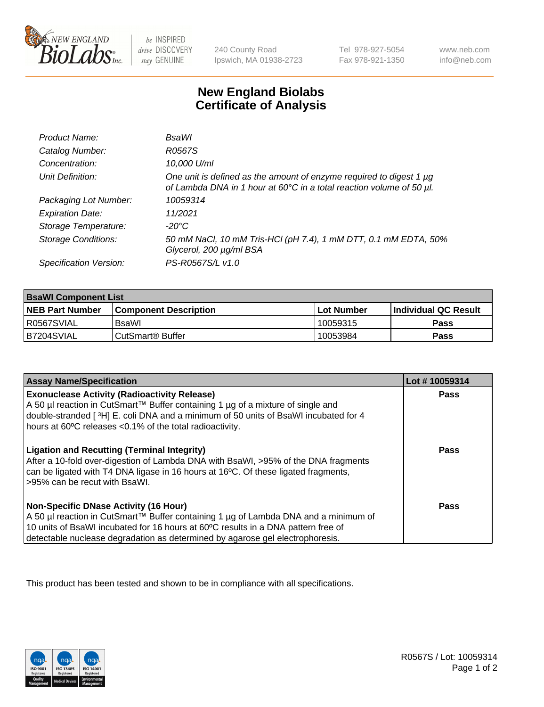

 $be$  INSPIRED drive DISCOVERY stay GENUINE

240 County Road Ipswich, MA 01938-2723 Tel 978-927-5054 Fax 978-921-1350 www.neb.com info@neb.com

## **New England Biolabs Certificate of Analysis**

| Product Name:              | <b>BsaWI</b>                                                                                                                                |
|----------------------------|---------------------------------------------------------------------------------------------------------------------------------------------|
| Catalog Number:            | R0567S                                                                                                                                      |
| Concentration:             | 10,000 U/ml                                                                                                                                 |
| Unit Definition:           | One unit is defined as the amount of enzyme required to digest 1 µg<br>of Lambda DNA in 1 hour at 60°C in a total reaction volume of 50 µl. |
| Packaging Lot Number:      | 10059314                                                                                                                                    |
| <b>Expiration Date:</b>    | 11/2021                                                                                                                                     |
| Storage Temperature:       | $-20^{\circ}$ C                                                                                                                             |
| <b>Storage Conditions:</b> | 50 mM NaCl, 10 mM Tris-HCl (pH 7.4), 1 mM DTT, 0.1 mM EDTA, 50%<br>Glycerol, 200 µg/ml BSA                                                  |
| Specification Version:     | PS-R0567S/L v1.0                                                                                                                            |

| <b>BsaWI Component List</b> |                         |              |                             |  |
|-----------------------------|-------------------------|--------------|-----------------------------|--|
| <b>NEB Part Number</b>      | l Component Description | l Lot Number | <b>Individual QC Result</b> |  |
| R0567SVIAL                  | BsaWl                   | 10059315     | Pass                        |  |
| B7204SVIAL                  | l CutSmart® Buffer      | 10053984     | Pass                        |  |

| <b>Assay Name/Specification</b>                                                                                                                                                                                                                                                                           | Lot #10059314 |
|-----------------------------------------------------------------------------------------------------------------------------------------------------------------------------------------------------------------------------------------------------------------------------------------------------------|---------------|
| <b>Exonuclease Activity (Radioactivity Release)</b><br>A 50 µl reaction in CutSmart™ Buffer containing 1 µg of a mixture of single and<br>double-stranded [3H] E. coli DNA and a minimum of 50 units of BsaWI incubated for 4<br>hours at 60°C releases <0.1% of the total radioactivity.                 | Pass          |
| <b>Ligation and Recutting (Terminal Integrity)</b><br>After a 10-fold over-digestion of Lambda DNA with BsaWI, >95% of the DNA fragments<br>can be ligated with T4 DNA ligase in 16 hours at 16°C. Of these ligated fragments,<br>>95% can be recut with BsaWI.                                           | <b>Pass</b>   |
| <b>Non-Specific DNase Activity (16 Hour)</b><br>A 50 µl reaction in CutSmart™ Buffer containing 1 µg of Lambda DNA and a minimum of<br>10 units of BsaWI incubated for 16 hours at 60°C results in a DNA pattern free of<br>detectable nuclease degradation as determined by agarose gel electrophoresis. | Pass          |

This product has been tested and shown to be in compliance with all specifications.